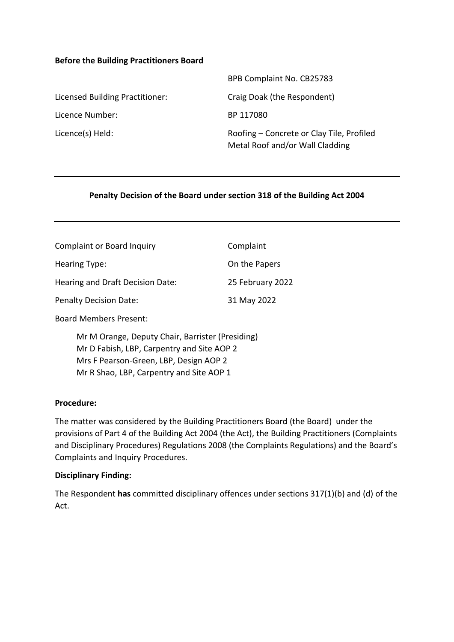### **Before the Building Practitioners Board**

|                                 | BPB Complaint No. CB25783                                                    |
|---------------------------------|------------------------------------------------------------------------------|
| Licensed Building Practitioner: | Craig Doak (the Respondent)                                                  |
| Licence Number:                 | BP 117080                                                                    |
| Licence(s) Held:                | Roofing – Concrete or Clay Tile, Profiled<br>Metal Roof and/or Wall Cladding |

## **Penalty Decision of the Board under section 318 of the Building Act 2004**

| <b>Complaint or Board Inquiry</b> | Complaint        |
|-----------------------------------|------------------|
| Hearing Type:                     | On the Papers    |
| Hearing and Draft Decision Date:  | 25 February 2022 |
| <b>Penalty Decision Date:</b>     | 31 May 2022      |
|                                   |                  |

Board Members Present:

Mr M Orange, Deputy Chair, Barrister (Presiding) Mr D Fabish, LBP, Carpentry and Site AOP 2 Mrs F Pearson-Green, LBP, Design AOP 2 Mr R Shao, LBP, Carpentry and Site AOP 1

### **Procedure:**

The matter was considered by the Building Practitioners Board (the Board) under the provisions of Part 4 of the Building Act 2004 (the Act), the Building Practitioners (Complaints and Disciplinary Procedures) Regulations 2008 (the Complaints Regulations) and the Board's Complaints and Inquiry Procedures.

### **Disciplinary Finding:**

The Respondent **has** committed disciplinary offences under sections 317(1)(b) and (d) of the Act.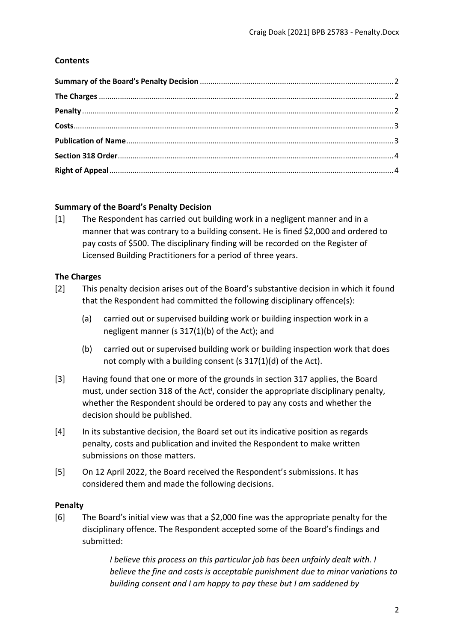# **Contents**

## <span id="page-1-0"></span>**Summary of the Board's Penalty Decision**

[1] The Respondent has carried out building work in a negligent manner and in a manner that was contrary to a building consent. He is fined \$2,000 and ordered to pay costs of \$500. The disciplinary finding will be recorded on the Register of Licensed Building Practitioners for a period of three years.

## <span id="page-1-1"></span>**The Charges**

- [2] This penalty decision arises out of the Board's substantive decision in which it found that the Respondent had committed the following disciplinary offence(s):
	- (a) carried out or supervised building work or building inspection work in a negligent manner (s 317(1)(b) of the Act); and
	- (b) carried out or supervised building work or building inspection work that does not comply with a building consent (s 317(1)(d) of the Act).
- [3] Having found that one or more of the grounds in section 317 applies, the Board must, under section 318 of the Act<sup>i</sup>, consider the appropriate disciplinary penalty, whether the Respondent should be ordered to pay any costs and whether the decision should be published.
- [4] In its substantive decision, the Board set out its indicative position as regards penalty, costs and publication and invited the Respondent to make written submissions on those matters.
- [5] On 12 April 2022, the Board received the Respondent's submissions. It has considered them and made the following decisions.

### <span id="page-1-2"></span>**Penalty**

[6] The Board's initial view was that a \$2,000 fine was the appropriate penalty for the disciplinary offence. The Respondent accepted some of the Board's findings and submitted:

> *I believe this process on this particular job has been unfairly dealt with. I believe the fine and costs is acceptable punishment due to minor variations to building consent and I am happy to pay these but I am saddened by*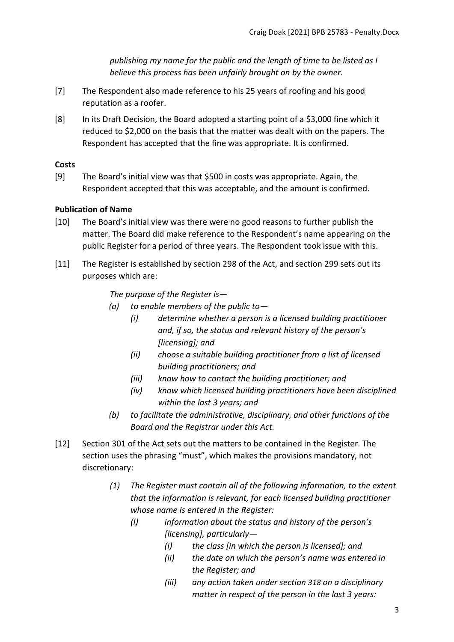*publishing my name for the public and the length of time to be listed as I believe this process has been unfairly brought on by the owner.* 

- [7] The Respondent also made reference to his 25 years of roofing and his good reputation as a roofer.
- [8] In its Draft Decision, the Board adopted a starting point of a \$3,000 fine which it reduced to \$2,000 on the basis that the matter was dealt with on the papers. The Respondent has accepted that the fine was appropriate. It is confirmed.

# <span id="page-2-0"></span>**Costs**

[9] The Board's initial view was that \$500 in costs was appropriate. Again, the Respondent accepted that this was acceptable, and the amount is confirmed.

# <span id="page-2-1"></span>**Publication of Name**

- [10] The Board's initial view was there were no good reasons to further publish the matter. The Board did make reference to the Respondent's name appearing on the public Register for a period of three years. The Respondent took issue with this.
- [11] The Register is established by section 298 of the Act, and section 299 sets out its purposes which are:

*The purpose of the Register is—*

- *(a) to enable members of the public to—*
	- *(i) determine whether a person is a licensed building practitioner and, if so, the status and relevant history of the person's [licensing]; and*
	- *(ii) choose a suitable building practitioner from a list of licensed building practitioners; and*
	- *(iii) know how to contact the building practitioner; and*
	- *(iv) know which licensed building practitioners have been disciplined within the last 3 years; and*
- *(b) to facilitate the administrative, disciplinary, and other functions of the Board and the Registrar under this Act.*
- [12] Section 301 of the Act sets out the matters to be contained in the Register. The section uses the phrasing "must", which makes the provisions mandatory, not discretionary:
	- *(1) The Register must contain all of the following information, to the extent that the information is relevant, for each licensed building practitioner whose name is entered in the Register:*
		- *(l) information about the status and history of the person's [licensing], particularly—*
			- *(i) the class [in which the person is licensed]; and*
			- *(ii) the date on which the person's name was entered in the Register; and*
			- *(iii) any action taken under section [318](http://www.westlaw.co.nz/maf/wlnz/app/document?docguid=Idfae01b4e12411e08eefa443f89988a0&&src=rl&hitguid=I59069659e03411e08eefa443f89988a0&snippets=true&startChunk=1&endChunk=1&isTocNav=true&tocDs=AUNZ_NZ_LEGCOMM_TOC#anchor_I59069659e03411e08eefa443f89988a0) on a disciplinary matter in respect of the person in the last 3 years:*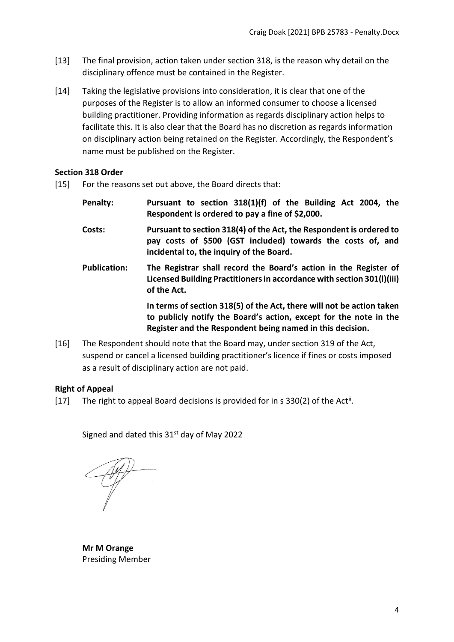- [13] The final provision, action taken under section 318, is the reason why detail on the disciplinary offence must be contained in the Register.
- [14] Taking the legislative provisions into consideration, it is clear that one of the purposes of the Register is to allow an informed consumer to choose a licensed building practitioner. Providing information as regards disciplinary action helps to facilitate this. It is also clear that the Board has no discretion as regards information on disciplinary action being retained on the Register. Accordingly, the Respondent's name must be published on the Register.

## <span id="page-3-0"></span>**Section 318 Order**

- [15] For the reasons set out above, the Board directs that:
	- **Penalty: Pursuant to section 318(1)(f) of the Building Act 2004, the Respondent is ordered to pay a fine of \$2,000. Costs: Pursuant to section 318(4) of the Act, the Respondent is ordered to pay costs of \$500 (GST included) towards the costs of, and incidental to, the inquiry of the Board. Publication: The Registrar shall record the Board's action in the Register of Licensed Building Practitioners in accordance with section 301(l)(iii) of the Act. In terms of section 318(5) of the Act, there will not be action taken to publicly notify the Board's action, except for the note in the Register and the Respondent being named in this decision.**
- [16] The Respondent should note that the Board may, under section 319 of the Act, suspend or cancel a licensed building practitioner's licence if fines or costs imposed as a result of disciplinary action are not paid.

### <span id="page-3-1"></span>**Right of Appeal**

[17] The right to appeal Board decisions is provided for in s 330(2) of the Act<sup>ii</sup>.

Signed and dated this 31<sup>st</sup> day of May 2022

**Mr M Orange**  Presiding Member